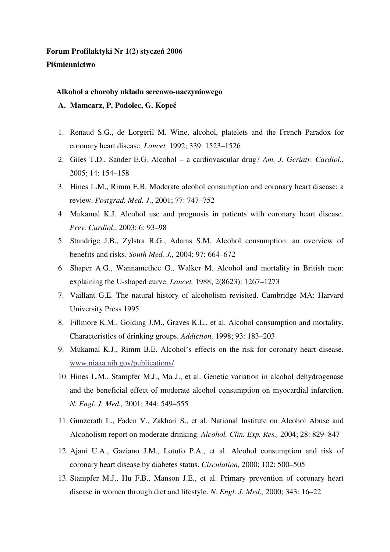## **Forum Profilaktyki Nr 1(2) stycze**ń **2006 Pi**ś**miennictwo**

### **Alkohol a choroby układu sercowo-naczyniowego**

**A. Mamcarz, P. Podolec, G. Kope**ć

- 1. Renaud S.G., de Lorgeril M. Wine, alcohol, platelets and the French Paradox for coronary heart disease. *Lancet,* 1992; 339: 1523–1526
- 2. Giles T.D., Sander E.G. Alcohol a cardiovascular drug? *Am. J. Geriatr. Cardiol*., 2005; 14: 154–158
- 3. Hines L.M., Rimm E.B. Moderate alcohol consumption and coronary heart disease: a review. *Postgrad. Med. J*., 2001; 77: 747–752
- 4. Mukamal K.J. Alcohol use and prognosis in patients with coronary heart disease. *Prev. Cardiol*., 2003; 6: 93–98
- 5. Standrige J.B., Zylstra R.G., Adams S.M. Alcohol consumption: an overview of benefits and risks. *South Med. J.,* 2004; 97: 664–672
- 6. Shaper A.G., Wannamethee G., Walker M. Alcohol and mortality in British men: explaining the U-shaped curve. *Lancet,* 1988; 2(8623): 1267–1273
- 7. Vaillant G.E. The natural history of alcoholism revisited. Cambridge MA: Harvard University Press 1995
- 8. Fillmore K.M., Golding J.M., Graves K.L., et al. Alcohol consumption and mortality. Characteristics of drinking groups. *Addiction,* 1998; 93: 183–203
- 9. Mukamal K.J., Rimm B.E. Alcohol's effects on the risk for coronary heart disease. www.niaaa.nih.gov/publications/
- 10. Hines L.M., Stampfer M.J., Ma J., et al. Genetic variation in alcohol dehydrogenase and the beneficial effect of moderate alcohol consumption on myocardial infarction. *N. Engl. J. Med.,* 2001; 344: 549–555
- 11. Gunzerath L., Faden V., Zakhari S., et al. National Institute on Alcohol Abuse and Alcoholism report on moderate drinking. *Alcohol. Clin. Exp. Res.,* 2004; 28: 829–847
- 12. Ajani U.A., Gaziano J.M., Lotufo P.A., et al. Alcohol consumption and risk of coronary heart disease by diabetes status. *Circulation,* 2000; 102: 500–505
- 13. Stampfer M.J., Hu F.B., Manson J.E., et al. Primary prevention of coronary heart disease in women through diet and lifestyle. *N. Engl. J. Med.,* 2000; 343: 16–22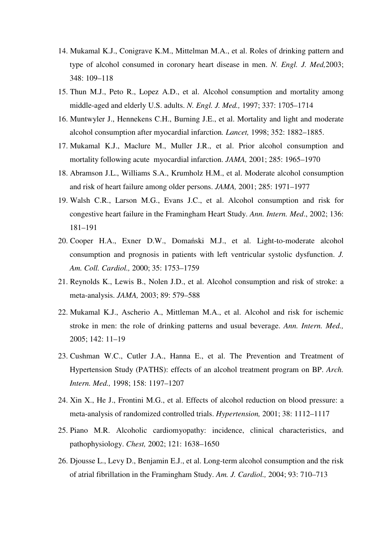- 14. Mukamal K.J., Conigrave K.M., Mittelman M.A., et al. Roles of drinking pattern and type of alcohol consumed in coronary heart disease in men. *N. Engl. J. Med,*2003; 348: 109–118
- 15. Thun M.J., Peto R., Lopez A.D., et al. Alcohol consumption and mortality among middle-aged and elderly U.S. adults. *N. Engl. J. Med.,* 1997; 337: 1705–1714
- 16. Muntwyler J., Hennekens C.H., Burning J.E., et al. Mortality and light and moderate alcohol consumption after myocardial infarction*. Lancet,* 1998; 352: 1882–1885.
- 17. Mukamal K.J., Maclure M., Muller J.R., et al. Prior alcohol consumption and mortality following acute myocardial infarction. *JAMA,* 2001; 285: 1965–1970
- 18. Abramson J.L., Williams S.A., Krumholz H.M., et al. Moderate alcohol consumption and risk of heart failure among older persons. *JAMA,* 2001; 285: 1971–1977
- 19. Walsh C.R., Larson M.G., Evans J.C., et al. Alcohol consumption and risk for congestive heart failure in the Framingham Heart Study. *Ann. Intern. Med*., 2002; 136: 181–191
- 20. Cooper H.A., Exner D.W., Domański M.J., et al. Light-to-moderate alcohol consumption and prognosis in patients with left ventricular systolic dysfunction. *J. Am. Coll. Cardiol.,* 2000; 35: 1753–1759
- 21. Reynolds K., Lewis B., Nolen J.D., et al. Alcohol consumption and risk of stroke: a meta-analysis. *JAMA,* 2003; 89: 579–588
- 22. Mukamal K.J., Ascherio A., Mittleman M.A., et al. Alcohol and risk for ischemic stroke in men: the role of drinking patterns and usual beverage. *Ann. Intern. Med.,* 2005; 142: 11–19
- 23. Cushman W.C., Cutler J.A., Hanna E., et al. The Prevention and Treatment of Hypertension Study (PATHS): effects of an alcohol treatment program on BP. *Arch. Intern. Med.,* 1998; 158: 1197–1207
- 24. Xin X., He J., Frontini M.G., et al. Effects of alcohol reduction on blood pressure: a meta-analysis of randomized controlled trials. *Hypertension,* 2001; 38: 1112–1117
- 25. Piano M.R. Alcoholic cardiomyopathy: incidence, clinical characteristics, and pathophysiology. *Chest,* 2002; 121: 1638–1650
- 26. Djousse L., Levy D., Benjamin E.J., et al. Long-term alcohol consumption and the risk of atrial fibrillation in the Framingham Study. *Am. J. Cardiol.,* 2004; 93: 710–713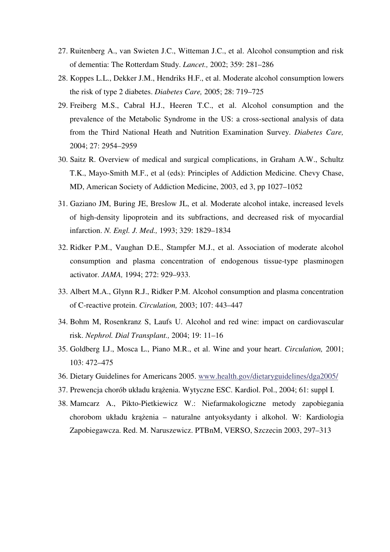- 27. Ruitenberg A., van Swieten J.C., Witteman J.C., et al. Alcohol consumption and risk of dementia: The Rotterdam Study. *Lancet.,* 2002; 359: 281–286
- 28. Koppes L.L., Dekker J.M., Hendriks H.F., et al. Moderate alcohol consumption lowers the risk of type 2 diabetes. *Diabetes Care,* 2005; 28: 719–725
- 29. Freiberg M.S., Cabral H.J., Heeren T.C., et al. Alcohol consumption and the prevalence of the Metabolic Syndrome in the US: a cross-sectional analysis of data from the Third National Heath and Nutrition Examination Survey. *Diabetes Care,*  2004; 27: 2954–2959
- 30. Saitz R. Overview of medical and surgical complications, in Graham A.W., Schultz T.K., Mayo-Smith M.F., et al (eds): Principles of Addiction Medicine. Chevy Chase, MD, American Society of Addiction Medicine, 2003, ed 3, pp 1027–1052
- 31. Gaziano JM, Buring JE, Breslow JL, et al. Moderate alcohol intake, increased levels of high-density lipoprotein and its subfractions, and decreased risk of myocardial infarction. *N. Engl. J. Med.,* 1993; 329: 1829–1834
- 32. Ridker P.M., Vaughan D.E., Stampfer M.J., et al. Association of moderate alcohol consumption and plasma concentration of endogenous tissue-type plasminogen activator. *JAMA,* 1994; 272: 929–933.
- 33. Albert M.A., Glynn R.J., Ridker P.M. Alcohol consumption and plasma concentration of C-reactive protein. *Circulation,* 2003; 107: 443–447
- 34. Bohm M, Rosenkranz S, Laufs U. Alcohol and red wine: impact on cardiovascular risk. *Nephrol. Dial Transplant.,* 2004; 19: 11–16
- 35. Goldberg I.J., Mosca L., Piano M.R., et al. Wine and your heart. *Circulation,* 2001; 103: 472–475
- 36. Dietary Guidelines for Americans 2005. www.health.gov/dietaryguidelines/dga2005/
- 37. Prewencja chorób układu krążenia. Wytyczne ESC. Kardiol. Pol., 2004; 61: suppl I.
- 38. Mamcarz A., Pikto-Pietkiewicz W.: Niefarmakologiczne metody zapobiegania chorobom układu krążenia – naturalne antyoksydanty i alkohol. W: Kardiologia Zapobiegawcza. Red. M. Naruszewicz. PTBnM, VERSO, Szczecin 2003, 297–313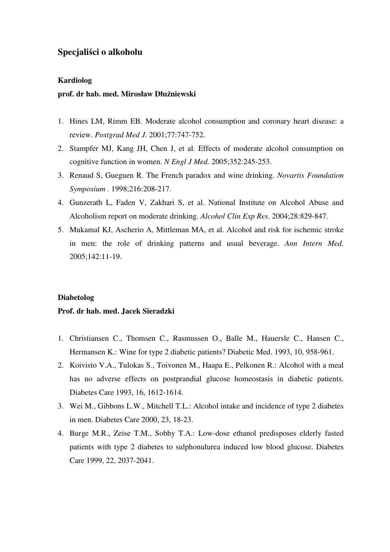## **Specjali**ś**ci o alkoholu**

#### **Kardiolog**

#### **prof. dr hab. med. Mirosław Dłu**ż**niewski**

- 1. Hines LM, Rimm EB. Moderate alcohol consumption and coronary heart disease: a review. *Postgrad Med J.* 2001;77:747-752.
- 2. Stampfer MJ, Kang JH, Chen J, et al. Effects of moderate alcohol consumption on cognitive function in women. *N Engl J Med.* 2005;352:245-253.
- 3. Renaud S, Gueguen R. The French paradox and wine drinking. *Novartis Foundation Symposium* . 1998;216:208-217.
- 4. Gunzerath L, Faden V, Zakhari S, et al. National Institute on Alcohol Abuse and Alcoholism report on moderate drinking. *Alcohol Clin Exp Res.* 2004;28:829-847.
- 5. Mukamal KJ, Ascherio A, Mittleman MA, et al. Alcohol and risk for ischemic stroke in men: the role of drinking patterns and usual beverage. *Ann Intern Med.* 2005;142:11-19.

#### **Diabetolog**

#### **Prof. dr hab. med. Jacek Sieradzki**

- 1. Christiansen C., Thomsen C., Rasmussen O., Balle M., Hauersle C., Hansen C., Hermansen K.: Wine for type 2 diabetic patients? Diabetic Med. 1993, 10, 958-961.
- 2. Koivisto V.A., Tulokas S., Toivonen M., Haapa E., Pelkonen R.: Alcohol with a meal has no adverse effects on postprandial glucose homeostasis in diabetic patients. Diabetes Care 1993, 16, 1612-1614.
- 3. Wei M., Gibbons L.W., Mitchell T.L.: Alcohol intake and incidence of type 2 diabetes in men. Diabetes Care 2000, 23, 18-23.
- 4. Burge M.R., Zeise T.M., Sobhy T.A.: Low-dose ethanol predisposes elderly fasted patients with type 2 diabetes to sulphonulurea induced low blood glucose. Diabetes Care 1999, 22, 2037-2041.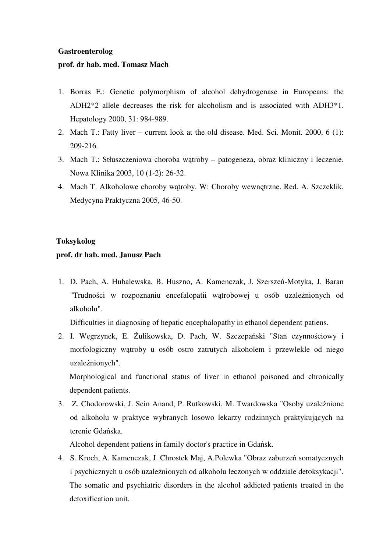### **Gastroenterolog**

## **prof. dr hab. med. Tomasz Mach**

- 1. Borras E.: Genetic polymorphism of alcohol dehydrogenase in Europeans: the ADH2\*2 allele decreases the risk for alcoholism and is associated with ADH3\*1. Hepatology 2000, 31: 984-989.
- 2. Mach T.: Fatty liver current look at the old disease. Med. Sci. Monit. 2000, 6 (1): 209-216.
- 3. Mach T.: Stłuszczeniowa choroba wątroby patogeneza, obraz kliniczny i leczenie. Nowa Klinika 2003, 10 (1-2): 26-32.
- 4. Mach T. Alkoholowe choroby wątroby. W: Choroby wewnętrzne. Red. A. Szczeklik, Medycyna Praktyczna 2005, 46-50.

## **Toksykolog**

## **prof. dr hab. med. Janusz Pach**

1. D. Pach, A. Hubalewska, B. Huszno, A. Kamenczak, J. Szerszeń-Motyka, J. Baran "Trudności w rozpoznaniu encefalopatii wątrobowej u osób uzależnionych od alkoholu".

Difficulties in diagnosing of hepatic encephalopathy in ethanol dependent patiens.

2. I. Wegrzynek, E. Żulikowska, D. Pach, W. Szczepański "Stan czynnościowy i morfologiczny wątroby u osób ostro zatrutych alkoholem i przewlekle od niego uzależnionych".

Morphological and functional status of liver in ethanol poisoned and chronically dependent patients.

3. Z. Chodorowski, J. Sein Anand, P. Rutkowski, M. Twardowska "Osoby uzależnione od alkoholu w praktyce wybranych losowo lekarzy rodzinnych praktykujących na terenie Gdańska.

Alcohol dependent patiens in family doctor's practice in Gdańsk.

4. S. Kroch, A. Kamenczak, J. Chrostek Maj, A.Polewka "Obraz zaburzeń somatycznych i psychicznych u osób uzależnionych od alkoholu leczonych w oddziale detoksykacji". The somatic and psychiatric disorders in the alcohol addicted patients treated in the detoxification unit.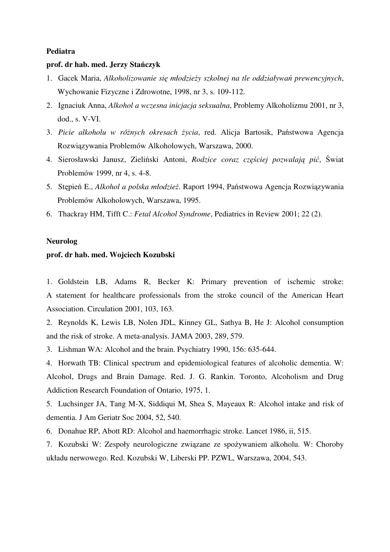#### **Pediatra**

### **prof. dr hab. med. Jerzy Sta**ń**czyk**

- 1. Gacek Maria, *Alkoholizowanie si*ę *młodzie*ż*y szkolnej na tle oddziaływa*ń *prewencyjnych*, Wychowanie Fizyczne i Zdrowotne, 1998, nr 3, s. 109-112.
- 2. Ignaciuk Anna, *Alkohol a wczesna inicjacja seksualna*, Problemy Alkoholizmu 2001, nr 3, dod., s. V-VI.
- 3. *Picie alkoholu w ró*ż*nych okresach* ż*ycia*, red. Alicja Bartosik, Państwowa Agencja Rozwiązywania Problemów Alkoholowych, Warszawa, 2000.
- 4. Sierosławski Janusz, Zieliński Antoni, *Rodzice coraz cz*ęś*ciej pozwalaj*ą *pi*ć, Świat Problemów 1999, nr 4, s. 4-8.
- 5. Stępień E., *Alkohol a polska młodzie*ż. Raport 1994, Państwowa Agencja Rozwiązywania Problemów Alkoholowych, Warszawa, 1995.
- 6. Thackray HM, Tifft C.: *Fetal Alcohol Syndrome*, Pediatrics in Review 2001; 22 (2).

#### **Neurolog**

## **prof. dr hab. med. Wojciech Kozubski**

1. Goldstein LB, Adams R, Becker K: Primary prevention of ischemic stroke: A statement for healthcare professionals from the stroke council of the American Heart Association. Circulation 2001, 103, 163.

2. Reynolds K, Lewis LB, Nolen JDL, Kinney GL, Sathya B, He J: Alcohol consumption and the risk of stroke. A meta-analysis. JAMA 2003, 289, 579.

3. Lishman WA: Alcohol and the brain. Psychiatry 1990, 156: 635-644.

4. Horwath TB: Clinical spectrum and epidemiological features of alcoholic dementia. W: Alcohol, Drugs and Brain Damage. Red. J. G. Rankin. Toronto, Alcoholism and Drug Addiction Research Foundation of Ontario, 1975, 1.

5. Luchsinger JA, Tang M-X, Siddiqui M, Shea S, Mayeaux R: Alcohol intake and risk of dementia. J Am Geriatr Soc 2004, 52, 540.

6. Donahue RP, Abott RD: Alcohol and haemorrhagic stroke. Lancet 1986, ii, 515.

7. Kozubski W: Zespoły neurologiczne związane ze spożywaniem alkoholu. W: Choroby układu nerwowego. Red. Kozubski W, Liberski PP. PZWL, Warszawa, 2004, 543.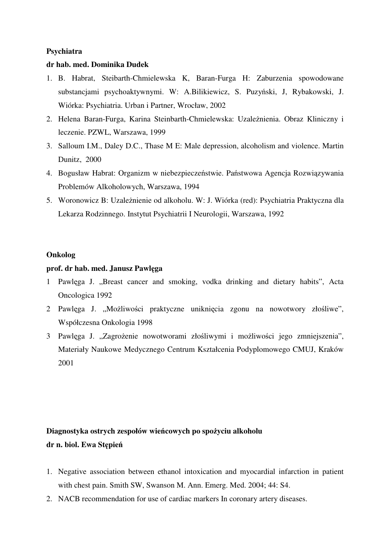## **Psychiatra**

## **dr hab. med. Dominika Dudek**

- 1. B. Habrat, Steibarth-Chmielewska K, Baran-Furga H: Zaburzenia spowodowane substancjami psychoaktywnymi. W: A.Bilikiewicz, S. Puzyński, J, Rybakowski, J. Wiórka: Psychiatria. Urban i Partner, Wrocław, 2002
- 2. Helena Baran-Furga, Karina Steinbarth-Chmielewska: Uzależnienia. Obraz Kliniczny i leczenie. PZWL, Warszawa, 1999
- 3. Salloum I.M., Daley D.C., Thase M E: Male depression, alcoholism and violence. Martin Dunitz, 2000
- 4. Bogusław Habrat: Organizm w niebezpieczeństwie. Państwowa Agencja Rozwiązywania Problemów Alkoholowych, Warszawa, 1994
- 5. Woronowicz B: Uzależnienie od alkoholu. W: J. Wiórka (red): Psychiatria Praktyczna dla Lekarza Rodzinnego. Instytut Psychiatrii I Neurologii, Warszawa, 1992

## **Onkolog**

## **prof. dr hab. med. Janusz Pawl**ę**ga**

- 1 Pawlęga J. "Breast cancer and smoking, vodka drinking and dietary habits", Acta Oncologica 1992
- 2 Pawlęga J. "Możliwości praktyczne uniknięcia zgonu na nowotwory złośliwe", Współczesna Onkologia 1998
- 3 Pawlęga J. "Zagrożenie nowotworami złośliwymi i możliwości jego zmniejszenia", Materiały Naukowe Medycznego Centrum Kształcenia Podyplomowego CMUJ, Kraków 2001

# **Diagnostyka ostrych zespołów wie**ń**cowych po spo**ż**yciu alkoholu dr n. biol. Ewa St**ę**pie**ń

- 1. Negative association between ethanol intoxication and myocardial infarction in patient with chest pain. Smith SW, Swanson M. Ann. Emerg. Med. 2004; 44: S4.
- 2. NACB recommendation for use of cardiac markers In coronary artery diseases.